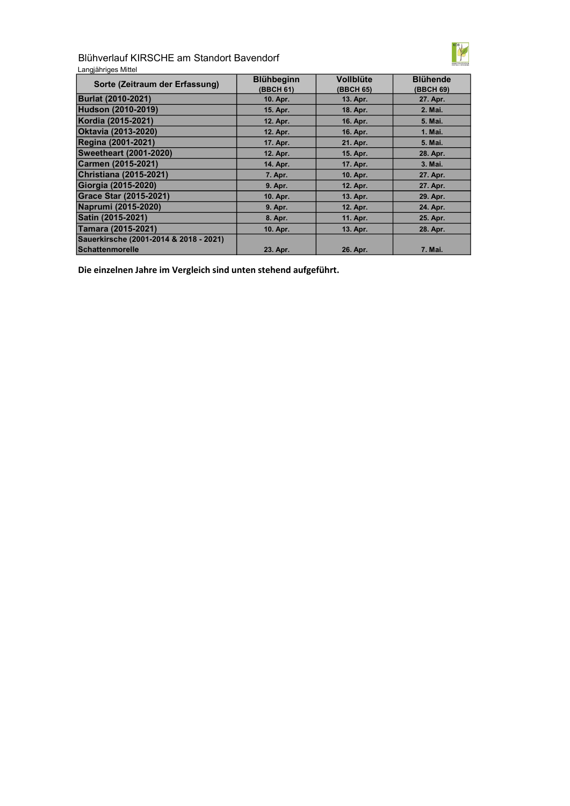

Blühverlauf KIRSCHE am Standort Bavendorf

| Langjähriges Mittel |  |
|---------------------|--|
|---------------------|--|

| Sorte (Zeitraum der Erfassung)         | <b>Blühbeginn</b><br>(BBCH 61) | <b>Vollblüte</b><br>(BBCH 65) | <b>Blühende</b><br>(BBCH 69) |
|----------------------------------------|--------------------------------|-------------------------------|------------------------------|
| <b>Burlat (2010-2021)</b>              | 10. Apr.                       | 13. Apr.                      | 27. Apr.                     |
| <b>Hudson (2010-2019)</b>              | 15. Apr.                       | 18. Apr.                      | 2. Mai.                      |
| Kordia (2015-2021)                     | 12. Apr.                       | 16. Apr.                      | 5. Mai.                      |
| <b>Oktavia (2013-2020)</b>             | 12. Apr.                       | 16. Apr.                      | 1. Mai.                      |
| <b>Regina (2001-2021)</b>              | 17. Apr.                       | 21. Apr.                      | 5. Mai.                      |
| <b>Sweetheart (2001-2020)</b>          | 12. Apr.                       | 15. Apr.                      | 28. Apr.                     |
| Carmen (2015-2021)                     | 14. Apr.                       | 17. Apr.                      | 3. Mai.                      |
| <b>Christiana (2015-2021)</b>          | 7. Apr.                        | 10. Apr.                      | 27. Apr.                     |
| Giorgia (2015-2020)                    | 9. Apr.                        | 12. Apr.                      | 27. Apr.                     |
| <b>Grace Star (2015-2021)</b>          | 10. Apr.                       | 13. Apr.                      | 29. Apr.                     |
| Naprumi (2015-2020)                    | 9. Apr.                        | 12. Apr.                      | 24. Apr.                     |
| Satin (2015-2021)                      | 8. Apr.                        | 11. Apr.                      | 25. Apr.                     |
| Tamara (2015-2021)                     | 10. Apr.                       | 13. Apr.                      | 28. Apr.                     |
| Sauerkirsche (2001-2014 & 2018 - 2021) |                                |                               |                              |
| Schattenmorelle                        | 23. Apr.                       | 26. Apr.                      | 7. Mai.                      |

Die einzelnen Jahre im Vergleich sind unten stehend aufgeführt.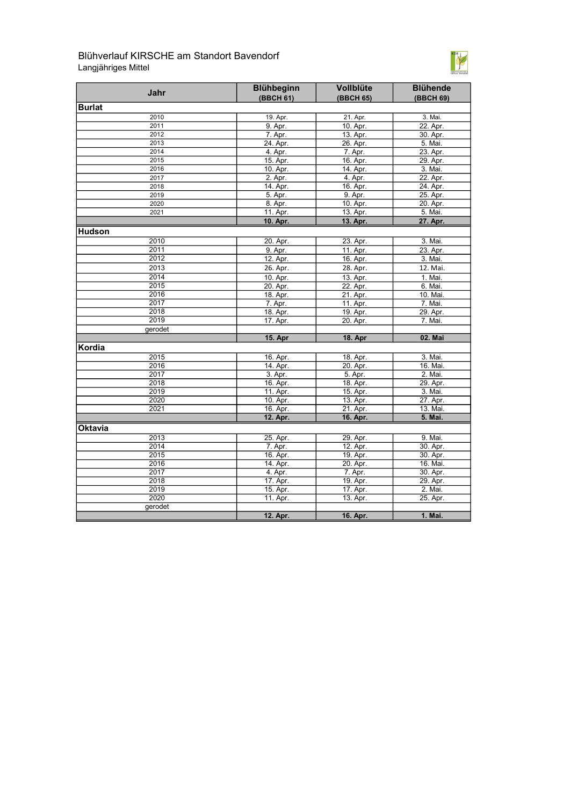## Blühverlauf KIRSCHE am Standort Bavendorf Langjähriges Mittel



| Jahr    | <b>Blühbeginn</b><br>(BBCH 61) | Vollblüte<br>(BBCH 65) | <b>Blühende</b><br>(BBCH 69) |
|---------|--------------------------------|------------------------|------------------------------|
| Burlat  |                                |                        |                              |
| 2010    | 19. Apr.                       | 21. Apr.               | 3. Mai.                      |
| 2011    | 9. Apr.                        | 10. Apr.               | 22. Apr.                     |
| 2012    | 7. Apr.                        | 13. Apr.               | 30. Apr.                     |
| 2013    | 24. Apr.                       | 26. Apr.               | 5. Mai.                      |
| 2014    | 4. Apr.                        | 7. Apr.                | 23. Apr.                     |
| 2015    | 15. Apr.                       | 16. Apr.               | 29. Apr.                     |
| 2016    | 10. Apr.                       | 14. Apr.               | 3. Mai.                      |
| 2017    | 2. Apr.                        | 4. Apr.                | 22. Apr.                     |
| 2018    | 14. Apr.                       | 16. Apr.               | 24. Apr.                     |
| 2019    | 5. Apr.                        | 9. Apr.                | 25. Apr.                     |
| 2020    | 8. Apr.                        | 10. Apr.               | 20. Apr.                     |
| 2021    | 11. Apr.                       | 13. Apr.               | 5. Mai.                      |
|         | 10. Apr.                       | 13. Apr.               | 27. Apr.                     |
| Hudson  |                                |                        |                              |
| 2010    | 20. Apr.                       | 23. Apr.               | 3. Mai.                      |
| 2011    | 9. Apr.                        | 11. Apr.               | 23. Apr.                     |
| 2012    | 12. Apr.                       | 16. Apr.               | 3. Mai.                      |
| 2013    | 26. Apr.                       | 28. Apr.               | 12. Mai.                     |
| 2014    | 10. Apr.                       | 13. Apr.               | 1. Mai.                      |
| 2015    | 20. Apr.                       | 22. Apr.               | 6. Mai.                      |
| 2016    | 18. Apr.                       | 21. Apr.               | 10. Mai.                     |
| 2017    | 7. Apr.                        | 11. Apr.               | 7. Mai.                      |
| 2018    | 18. Apr.                       | 19. Apr.               | 29. Apr.                     |
| 2019    | 17. Apr.                       | 20. Apr.               | 7. Mai.                      |
| gerodet |                                |                        |                              |
|         | <b>15. Apr</b>                 | <b>18. Apr</b>         | 02. Mai                      |
| Kordia  |                                |                        |                              |
| 2015    | 16. Apr.                       | 18. Apr.               | 3. Mai.                      |
| 2016    | 14. Apr.                       | 20. Apr.               | 16. Mai.                     |
| 2017    | 3. Apr.                        | 5. Apr.                | 2. Mai.                      |
| 2018    | 16. Apr.                       | 18. Apr.               | 29. Apr.                     |
| 2019    | 11. Apr.                       | 15. Apr.               | 3. Mai.                      |
| 2020    | 10. Apr.                       | 13. Apr.               | 27. Apr.                     |
| 2021    | 16. Apr.                       | 21. Apr.               | 13. Mai.                     |
|         | 12. Apr.                       | 16. Apr.               | 5. Mai.                      |
| Oktavia |                                |                        |                              |
| 2013    | 25. Apr.                       | 29. Apr.               | 9. Mai.                      |
| 2014    | 7. Apr.                        | 12. Apr.               | 30. Apr.                     |
| 2015    | 16. Apr.                       | 19. Apr.               | 30. Apr.                     |
| 2016    | 14. Apr.                       | 20. Apr.               | 16. Mai.                     |
| 2017    | 4. Apr.                        | 7. Apr.                | 30. Apr.                     |
| 2018    | 17. Apr.                       | 19. Apr.               | 29. Apr.                     |
| 2019    | 15. Apr.                       | 17. Apr.               | 2. Mai.                      |
| 2020    | 11. Apr.                       | 13. Apr.               | 25. Apr.                     |
| gerodet |                                |                        |                              |
|         | 12. Apr.                       | 16. Apr.               | 1. Mai.                      |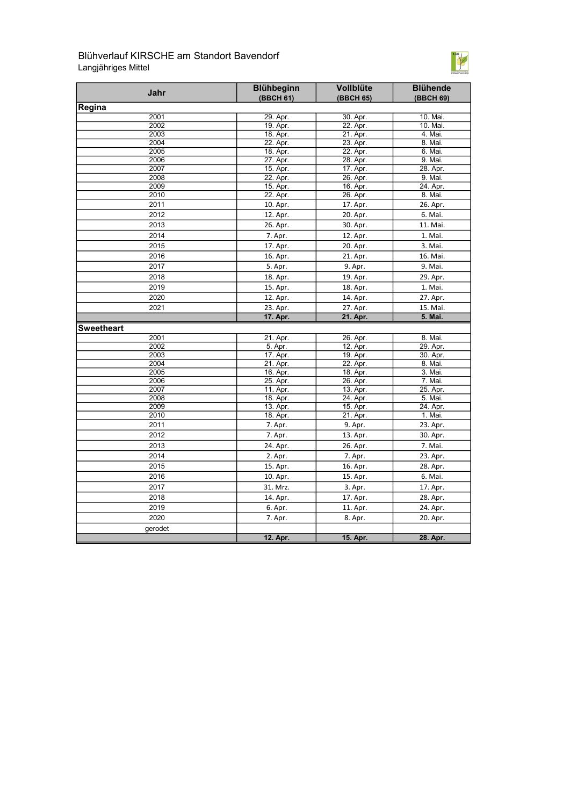## Blühverlauf KIRSCHE am Standort Bavendorf Langjähriges Mittel



| Jahr              | <b>Blühbeginn</b>    | Vollblüte            | <b>Blühende</b>     |
|-------------------|----------------------|----------------------|---------------------|
| Regina            | (BBCH 61)            | (BBCH 65)            | (BBCH 69)           |
| 2001              | 29. Apr.             | 30. Apr.             | 10. Mai.            |
| 2002              | 19. Apr.             | 22. Apr.             | 10. Mai.            |
| 2003              | 18. Apr.             | 21. Apr.             | 4. Mai.             |
| 2004              | 22. Apr.             | 23. Apr.             | 8. Mai.             |
| 2005              | 18. Apr.             | 22. Apr.             | 6. Mai.             |
| 2006              | 27. Apr.             | 28. Apr.             | 9. Mai.             |
| 2007              | 15. Apr.             | 17. Apr.             | 28. Apr.            |
| 2008              | 22. Apr.             | 26. Apr.             | 9. Mai.             |
| 2009              | 15. Apr.             | 16. Apr.             | 24. Apr.            |
| 2010              | 22. Apr.             | 26. Apr.             | 8. Mai.             |
| 2011              | 10. Apr.             | 17. Apr.             | 26. Apr.            |
| 2012              | 12. Apr.             | 20. Apr.             | 6. Mai.             |
| 2013              | 26. Apr.             | 30. Apr.             | 11. Mai.            |
| 2014              | 7. Apr.              | 12. Apr.             | 1. Mai.             |
| 2015              | 17. Apr.             | 20. Apr.             | 3. Mai.             |
| 2016              | 16. Apr.             | 21. Apr.             | 16. Mai.            |
| 2017              | 5. Apr.              | 9. Apr.              | 9. Mai.             |
| 2018              | 18. Apr.             | 19. Apr.             | 29. Apr.            |
| 2019              | 15. Apr.             | 18. Apr.             | 1. Mai.             |
| 2020              | 12. Apr.             | 14. Apr.             | 27. Apr.            |
| 2021              | 23. Apr.             | 27. Apr.             | 15. Mai.            |
|                   | 17. Apr.             | 21. Apr.             | 5. Mai.             |
| <b>Sweetheart</b> |                      |                      |                     |
| 2001              | 21. Apr.             | 26. Apr.             | 8. Mai.             |
| 2002              | 5. Apr.              | 12. Apr.             | 29. Apr.            |
| 2003              | 17. Apr.             | 19. Apr.             | 30. Apr.            |
| 2004              | 21. Apr.             | 22. Apr.             | 8. Mai.             |
| 2005              | 16. Apr.             | 18. Apr.             | 3. Mai.             |
| 2006              | 25. Apr.             | 26. Apr.             | 7. Mai.             |
| 2007              | 11. Apr.             | 13. Apr.             | 25. Apr.            |
| 2008<br>2009      | 18. Apr.             | 24. Apr.             | 5. Mai.<br>24. Apr. |
| 2010              | 13. Apr.<br>18. Apr. | 15. Apr.<br>21. Apr. | 1. Mai.             |
| 2011              | 7. Apr.              | 9. Apr.              | 23. Apr.            |
| 2012              | 7. Apr.              | 13. Apr.             | 30. Apr.            |
| 2013              | 24. Apr.             | 26. Apr.             | 7. Mai.             |
| 2014              | 2. Apr.              | 7. Apr.              | 23. Apr.            |
| 2015              |                      |                      |                     |
|                   | 15. Apr.             | 16. Apr.             | 28. Apr.            |
| 2016              | 10. Apr.             | 15. Apr.             | 6. Mai.             |
| 2017              | 31. Mrz.             | 3. Apr.              | 17. Apr.            |
| 2018              | 14. Apr.             | 17. Apr.             | 28. Apr.            |
| 2019              | 6. Apr.              | 11. Apr.             | 24. Apr.            |
| 2020              | 7. Apr.              | 8. Apr.              | 20. Apr.            |
| gerodet           |                      |                      |                     |
|                   | 12. Apr.             | 15. Apr.             | 28. Apr.            |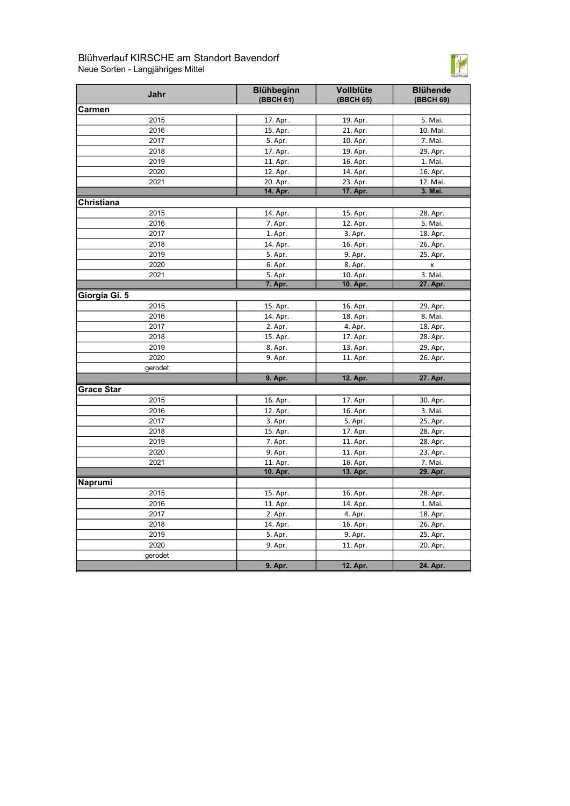## Blühverlauf KIRSCHE am Standort Bavendorf Neue Sorten - Langjähriges Mittel



| Jahr              | Blühbeginn<br>(BBCH 61) | Vollblüte<br>(BBCH 65) | <b>Blühende</b><br>(BBCH 69) |
|-------------------|-------------------------|------------------------|------------------------------|
| Carmen            |                         |                        |                              |
| 2015              | 17. Apr.                | 19. Apr.               | 5. Mai.                      |
| 2016              | 15. Apr.                | 21. Apr.               | 10. Mai.                     |
| 2017              | 5. Apr.                 | 10. Apr.               | 7. Mai.                      |
| 2018              | 17. Apr.                | 19. Apr.               | 29. Apr.                     |
| 2019              | 11. Apr.                | 16. Apr.               | 1. Mai.                      |
| 2020              | 12. Apr.                | 14. Apr.               | 16. Apr.                     |
| 2021              | 20. Apr.                | 23. Apr.               | 12. Mai.                     |
|                   | 14. Apr.                | 17. Apr.               | 3. Mai.                      |
| Christiana        |                         |                        |                              |
| 2015              | 14. Apr.                | 15. Apr.               | 28. Apr.                     |
| 2016              | 7. Apr.                 | 12. Apr.               | 5. Mai.                      |
| 2017              | 1. Apr.                 | 3. Apr.                | 18. Apr.                     |
| 2018              | 14. Apr.                | 16. Apr.               | 26. Apr.                     |
| 2019              | 5. Apr.                 | 9. Apr.                | 25. Apr.                     |
| 2020              | 6. Apr.                 | 8. Apr.                | X                            |
| 2021              | 5. Apr.                 | 10. Apr.               | 3. Mai.                      |
|                   | 7. Apr.                 | 10. Apr.               | 27. Apr.                     |
| Giorgia Gi. 5     |                         |                        |                              |
| 2015              | 15. Apr.                | 16. Apr.               | 29. Apr.                     |
| 2016              | 14. Apr.                | 18. Apr.               | 8. Mai.                      |
| 2017              | 2. Apr.                 | 4. Apr.                | 18. Apr.                     |
| 2018              | 15. Apr.                | 17. Apr.               | 28. Apr.                     |
| 2019              | 8. Apr.                 | 13. Apr.               | 29. Apr.                     |
| 2020              | 9. Apr.                 | 11. Apr.               | 26. Apr.                     |
| gerodet           |                         |                        |                              |
|                   | 9. Apr.                 | 12. Apr.               | 27. Apr.                     |
| <b>Grace Star</b> |                         |                        |                              |
| 2015              | 16. Apr.                | 17. Apr.               | 30. Apr.                     |
| 2016              | 12. Apr.                | 16. Apr.               | 3. Mai.                      |
| 2017              | 3. Apr.                 | 5. Apr.                | 25. Apr.                     |
| 2018              | 15. Apr.                | 17. Apr.               | 28. Apr.                     |
| 2019              | 7. Apr.                 | 11. Apr.               | 28. Apr.                     |
| 2020              | 9. Apr.                 | 11. Apr.               | 23. Apr.                     |
| 2021              | 11. Apr.                | 16. Apr.               | 7. Mai.                      |
|                   | 10. Apr.                | 13. Apr.               | 29. Apr.                     |
| Naprumi           |                         |                        |                              |
| 2015              | 15. Apr.                | 16. Apr.               | 28. Apr.                     |
| 2016              | 11. Apr.                | 14. Apr.               | 1. Mai.                      |
| 2017              | 2. Apr.                 | 4. Apr.                | 18. Apr.                     |
| 2018              | 14. Apr.                | 16. Apr.               | 26. Apr.                     |
| 2019              | 5. Apr.                 | 9. Apr.                | 25. Apr.                     |
| 2020              | 9. Apr.                 | 11. Apr.               | 20. Apr.                     |
| gerodet           |                         |                        |                              |
|                   | 9. Apr.                 | 12. Apr.               | 24. Apr.                     |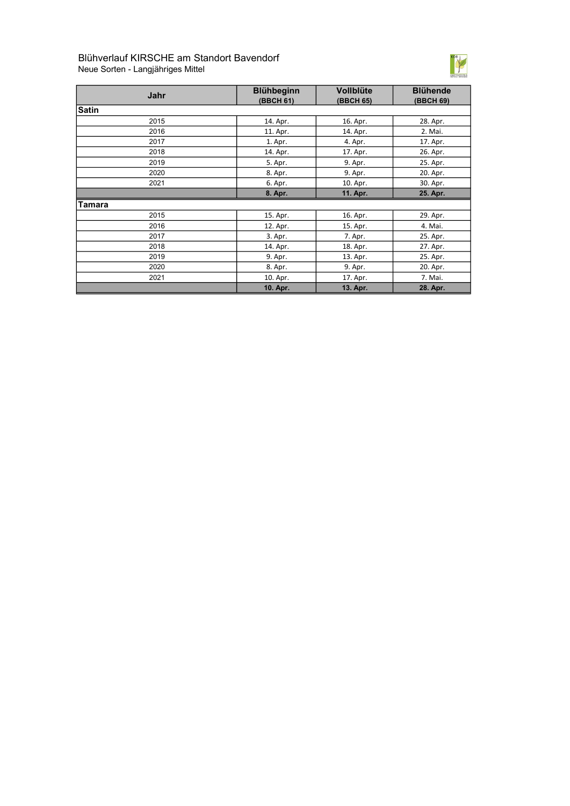# Blühverlauf KIRSCHE am Standort Bavendorf Neue Sorten - Langjähriges Mittel



| Jahr         | <b>Blühbeginn</b><br>(BBCH 61) | <b>Vollblüte</b><br>(BBCH 65) | <b>Blühende</b><br>(BBCH 69) |
|--------------|--------------------------------|-------------------------------|------------------------------|
| <b>Satin</b> |                                |                               |                              |
| 2015         | 14. Apr.                       | 16. Apr.                      | 28. Apr.                     |
| 2016         | 11. Apr.                       | 14. Apr.                      | 2. Mai.                      |
| 2017         | 1. Apr.                        | 4. Apr.                       | 17. Apr.                     |
| 2018         | 14. Apr.                       | 17. Apr.                      | 26. Apr.                     |
| 2019         | 5. Apr.                        | 9. Apr.                       | 25. Apr.                     |
| 2020         | 8. Apr.                        | 9. Apr.                       | 20. Apr.                     |
| 2021         | 6. Apr.                        | 10. Apr.                      | 30. Apr.                     |
|              | 8. Apr.                        | 11. Apr.                      | 25. Apr.                     |
| Tamara       |                                |                               |                              |
| 2015         | 15. Apr.                       | 16. Apr.                      | 29. Apr.                     |
| 2016         | 12. Apr.                       | 15. Apr.                      | 4. Mai.                      |
| 2017         | 3. Apr.                        | 7. Apr.                       | 25. Apr.                     |
| 2018         | 14. Apr.                       | 18. Apr.                      | 27. Apr.                     |
| 2019         | 9. Apr.                        | 13. Apr.                      | 25. Apr.                     |
| 2020         | 8. Apr.                        | 9. Apr.                       | 20. Apr.                     |
| 2021         | 10. Apr.                       | 17. Apr.                      | 7. Mai.                      |
|              | 10. Apr.                       | 13. Apr.                      | 28. Apr.                     |